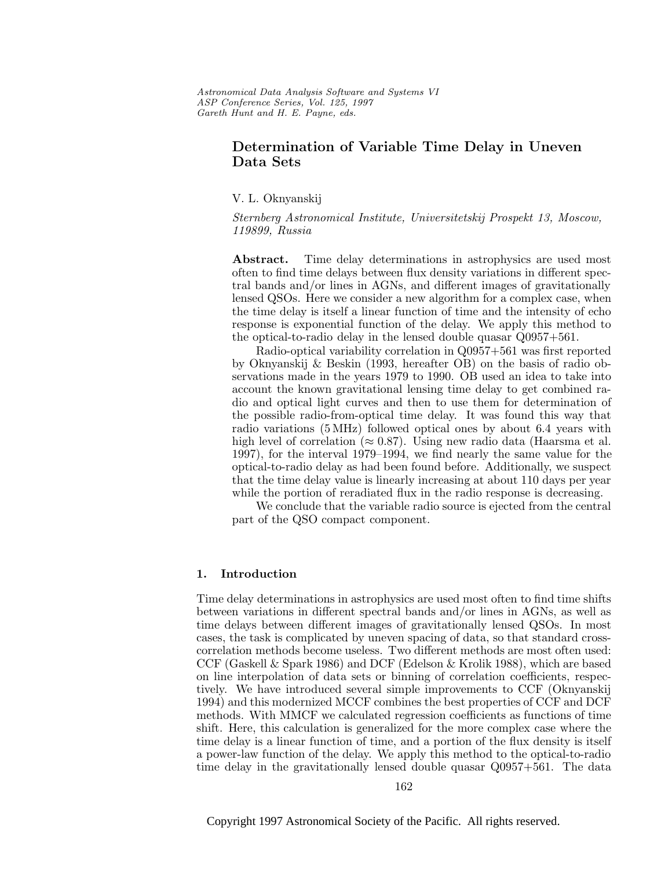Astronomical Data Analysis Software and Systems VI ASP Conference Series, Vol. 125, 1997 Gareth Hunt and H. E. Payne, e ds.

# **Determination of Variable Time Delay in Uneven Data Sets**

V. L. Oknyanskij

Sternberg Astronomical Institute, Universitetskij Prospekt 13, Moscow, 119899, Russia

Abstract. Time delay determinations in astrophysics are used most often to find time delays between flux density variations in different spectral bands and/or lines in AGNs, and different images of gravitationally lensed QSOs. Here we consider a new algorithm for a complex case, when the time delay is itself a linear function of time and the intensity of echo response is exponential function of the delay. We apply this method to the optical-to-radio delay in the lensed double quasar Q0957+561.

Radio-optical variability correlation in Q0957+561 was first reported by Oknyanskij & Beskin (1993, hereafter OB) on the basis of radio observations made in the years 1979 to 1990. OB used an idea to take into account the known gravitational lensing time delay to get combined radio and optical light curves and then to use them for determination of the possible radio-from-optical time delay. It was found this way that radio variations (5 MHz) followed optical ones by about 6.4 years with high level of correlation ( $\approx 0.87$ ). Using new radio data (Haarsma et al. 1997), for the interval 1979–1994, we find nearly the same value for the optical-to-radio delay as had been found before. Additionally, we suspect that the time delay value is linearly increasing at about 110 days per year while the portion of reradiated flux in the radio response is decreasing.

We conclude that the variable radio source is ejected from the central part of the QSO compact component.

## **1. Introduction**

Time delay determinations in astrophysics are used most often to find time shifts between variations in different spectral bands and/or lines in AGNs, as well as time delays between different images of gravitationally lensed QSOs. In most cases, the task is complicated by uneven spacing of data, so that standard crosscorrelation methods become useless. Two different methods are most often used: CCF (Gaskell & Spark 1986) and DCF (Edelson & Krolik 1988), which are based on line interpolation of data sets or binning of correlation coefficients, respectively. We have introduced several simple improvements to CCF (Oknyanskij 1994) and this modernized MCCF combines the best properties of CCF and DCF methods. With MMCF we calculated regression coefficients as functions of time shift. Here, this calculation is generalized for the more complex case where the time delay is a linear function of time, and a portion of the flux density is itself a power-law function of the delay. We apply this method to the optical-to-radio time delay in the gravitationally lensed double quasar Q0957+561. The data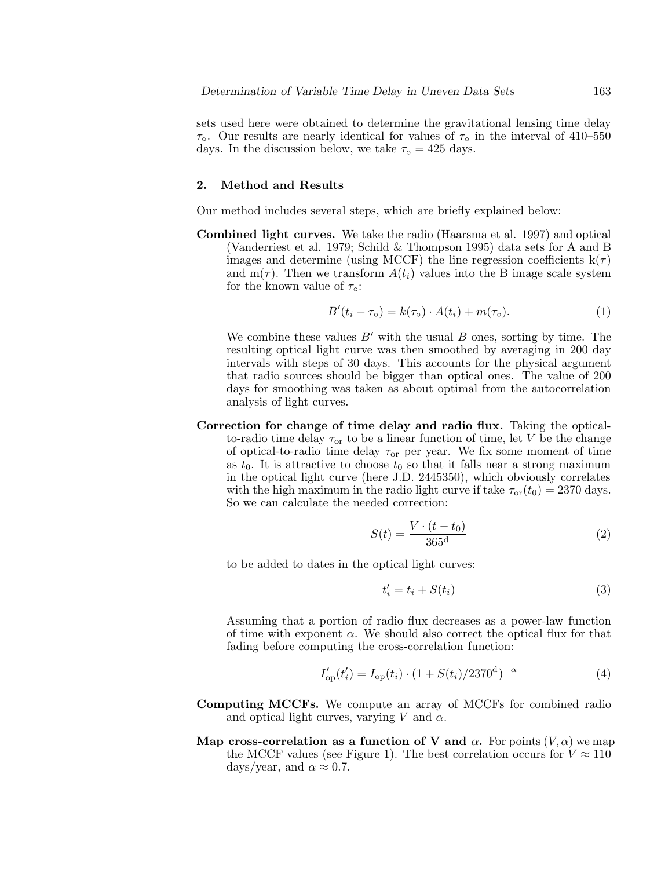sets used here were obtained to determine the gravitational lensing time delay  $\tau_{\circ}$ . Our results are nearly identical for values of  $\tau_{\circ}$  in the interval of 410–550 days. In the discussion below, we take  $\tau_{\text{o}} = 425$  days.

### **2. Method and Results**

Our method includes several steps, which are briefly explained below:

**Combined light curves.** We take the radio (Haarsma et al. 1997) and optical (Vanderriest et al. 1979; Schild & Thompson 1995) data sets for A and B images and determine (using MCCF) the line regression coefficients  $k(\tau)$ and  $m(\tau)$ . Then we transform  $A(t_i)$  values into the B image scale system for the known value of  $\tau_{\circ}$ :

$$
B'(t_i - \tau_o) = k(\tau_o) \cdot A(t_i) + m(\tau_o). \tag{1}
$$

We combine these values  $B'$  with the usual B ones, sorting by time. The resulting optical light curve was then smoothed by averaging in 200 day intervals with steps of 30 days. This accounts for the physical argument that radio sources should be bigger than optical ones. The value of 200 days for smoothing was taken as about optimal from the autocorrelation analysis of light curves.

**Correction for change of time delay and radio flux.** Taking the opticalto-radio time delay  $\tau_{or}$  to be a linear function of time, let V be the change of optical-to-radio time delay  $\tau_{or}$  per year. We fix some moment of time as  $t_0$ . It is attractive to choose  $t_0$  so that it falls near a strong maximum in the optical light curve (here J.D. 2445350), which obviously correlates with the high maximum in the radio light curve if take  $\tau_{\text{or}}(t_0) = 2370$  days. So we can calculate the needed correction:

$$
S(t) = \frac{V \cdot (t - t_0)}{365^d} \tag{2}
$$

to be added to dates in the optical light curves:

$$
t_i' = t_i + S(t_i) \tag{3}
$$

Assuming that a portion of radio flux decreases as a power-law function of time with exponent  $\alpha$ . We should also correct the optical flux for that fading before computing the cross-correlation function:

$$
I'_{op}(t'_i) = I_{op}(t_i) \cdot (1 + S(t_i)/2370^d)^{-\alpha}
$$
 (4)

- **Computing MCCFs.** We compute an array of MCCFs for combined radio and optical light curves, varying V and  $\alpha$ .
- **Map cross-correlation as a function of V and**  $\alpha$ **.** For points  $(V, \alpha)$  we map the MCCF values (see Figure 1). The best correlation occurs for  $V \approx 110$ days/year, and  $\alpha \approx 0.7$ .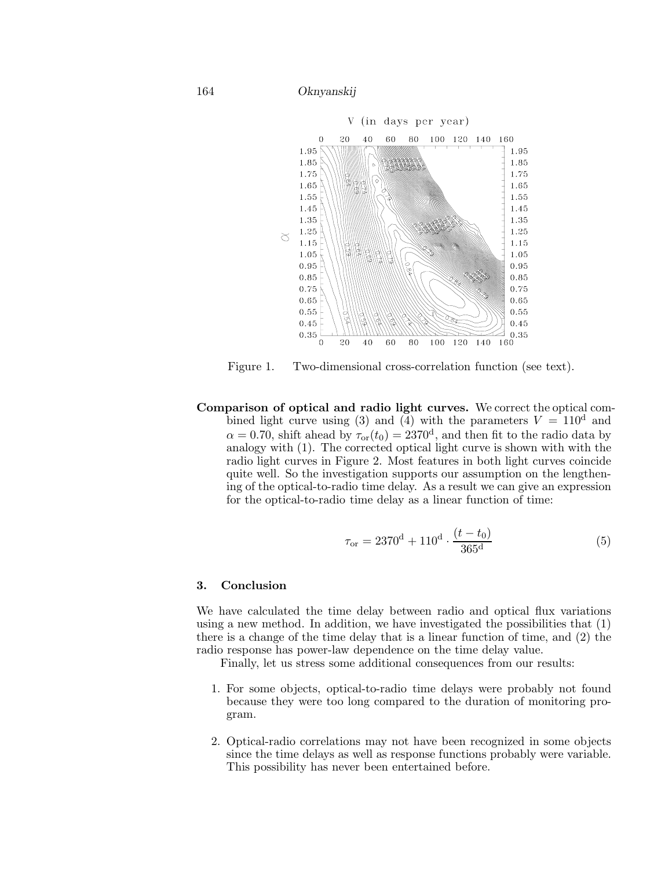164 *Oknyanskij*



Figure 1. Two-dimensional cross-correlation function (see text).

**Comparison of optical and radio light curves.** We correct the optical combined light curve using (3) and (4) with the parameters  $V = 110<sup>d</sup>$  and  $\alpha = 0.70$ , shift ahead by  $\tau_{or}(t_0) = 2370^d$ , and then fit to the radio data by analogy with (1). The corrected optical light curve is shown with with the radio light curves in Figure 2. Most features in both light curves coincide quite well. So the investigation supports our assumption on the lengthening of the optical-to-radio time delay. As a result we can give an expression for the optical-to-radio time delay as a linear function of time:

$$
\tau_{\text{or}} = 2370^{\text{d}} + 110^{\text{d}} \cdot \frac{(t - t_0)}{365^{\text{d}}} \tag{5}
$$

### **3. Conclusion**

We have calculated the time delay between radio and optical flux variations using a new method. In addition, we have investigated the possibilities that (1) there is a change of the time delay that is a linear function of time, and (2) the radio response has power-law dependence on the time delay value.

Finally, let us stress some additional consequences from our results:

- 1. For some objects, optical-to-radio time delays were probably not found because they were too long compared to the duration of monitoring program.
- 2. Optical-radio correlations may not have been recognized in some objects since the time delays as well as response functions probably were variable. This possibility has never been entertained before.